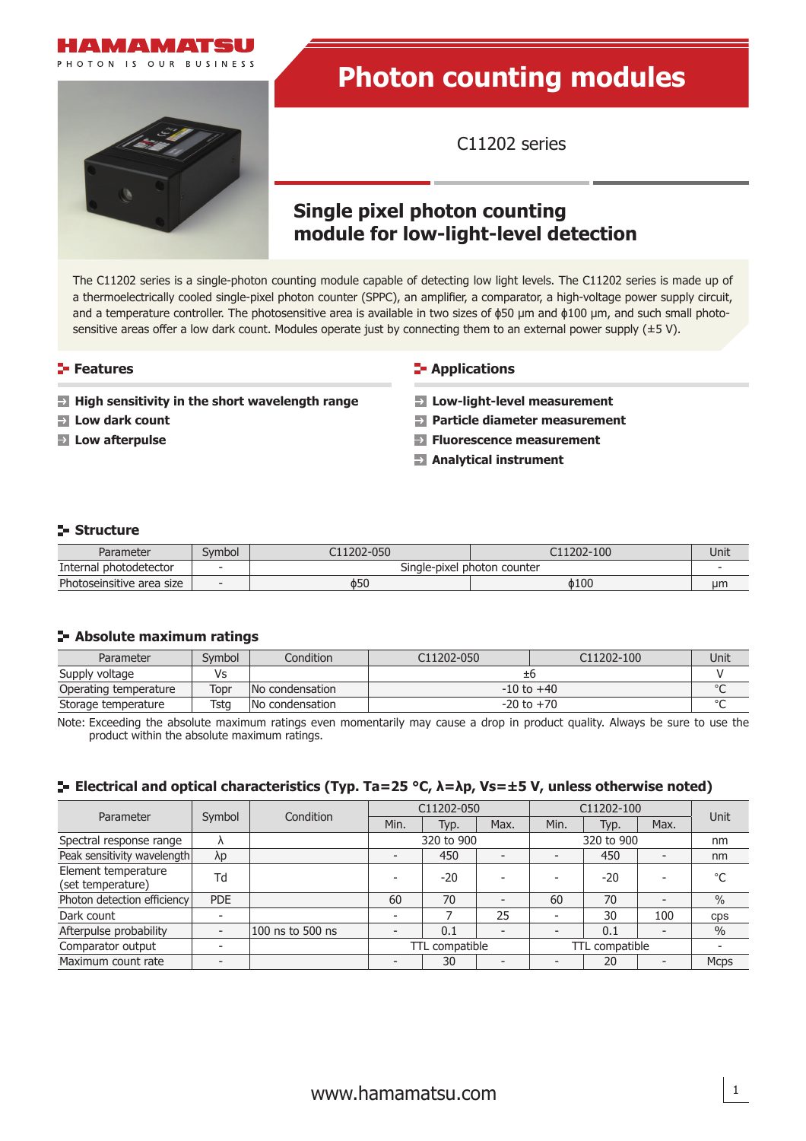



# **Photon counting modules**

C11202 series

# **Single pixel photon counting module for low-light-level detection**

The C11202 series is a single-photon counting module capable of detecting low light levels. The C11202 series is made up of a thermoelectrically cooled single-pixel photon counter (SPPC), an amplifier, a comparator, a high-voltage power supply circuit, and a temperature controller. The photosensitive area is available in two sizes of ϕ50 μm and ϕ100 μm, and such small photosensitive areas offer a low dark count. Modules operate just by connecting them to an external power supply  $(\pm 5 V)$ .

- **High sensitivity in the short wavelength range Low-light-level measurement**
- 
- 

## **Features Contract Contract Contract Contract Contract Contract Contract Contract Contract Contract Contract Contract Contract Contract Contract Contract Contract Contract Contract Contract Contract Contract Contract Con**

- 
- **Low dark count Particle diameter measurement**
- **Low afterpulse Fluorescence measurement**
	- **Analytical instrument**

#### **Structure**

| Parameter                 | Svmbol                   | 202-050                          | C11202-100 | Unit |
|---------------------------|--------------------------|----------------------------------|------------|------|
| Internal photodetector    |                          | Single-pixel<br>, photon counter |            |      |
| Photoseinsitive area size | $\overline{\phantom{0}}$ | φ50                              | 0100       | иm   |

## **Absolute maximum ratings**

| Parameter             | Svmbol | Condition       | C <sub>11202</sub> -050 | C11202-100 | Unit |
|-----------------------|--------|-----------------|-------------------------|------------|------|
| Supply voltage        | Vs     |                 | ΞO                      |            |      |
| Operating temperature | Topr   | No condensation | $-10$ to $+40$          |            |      |
| Storage temperature   | Tsta   | No condensation | $-20$ to $+70$          |            |      |

Note: Exceeding the absolute maximum ratings even momentarily may cause a drop in product quality. Always be sure to use the product within the absolute maximum ratings.

## **Electrical and optical characteristics (Typ. Ta=25 °C, λ=λp, Vs=±5 V, unless otherwise noted)**

| Parameter                                | Symbol                   | Condition        | C11202-050     |       | C11202-100               |      | Unit |      |               |
|------------------------------------------|--------------------------|------------------|----------------|-------|--------------------------|------|------|------|---------------|
|                                          |                          |                  | Min.           | Typ.  | Max.                     | Min. | Typ. | Max. |               |
| Spectral response range                  | $\Lambda$                |                  | 320 to 900     |       | 320 to 900               |      | nm   |      |               |
| Peak sensitivity wavelength              | λp                       |                  |                | 450   | -                        |      | 450  |      | nm            |
| Element temperature<br>(set temperature) | Td                       |                  |                | $-20$ |                          |      | -20  |      | °C            |
| Photon detection efficiency              | PDE                      |                  | 60             | 70    | $\overline{\phantom{0}}$ | 60   | 70   |      | $\%$          |
| Dark count                               | $\overline{\phantom{a}}$ |                  | -              |       | 25                       |      | 30   | 100  | cps           |
| Afterpulse probability                   | $\overline{\phantom{a}}$ | 100 ns to 500 ns | $\overline{a}$ | 0.1   |                          |      | 0.1  |      | $\frac{0}{0}$ |
| Comparator output                        |                          |                  | TTL compatible |       | TTL compatible           |      |      |      |               |
| Maximum count rate                       |                          |                  |                | 30    |                          |      | 20   |      | <b>Mcps</b>   |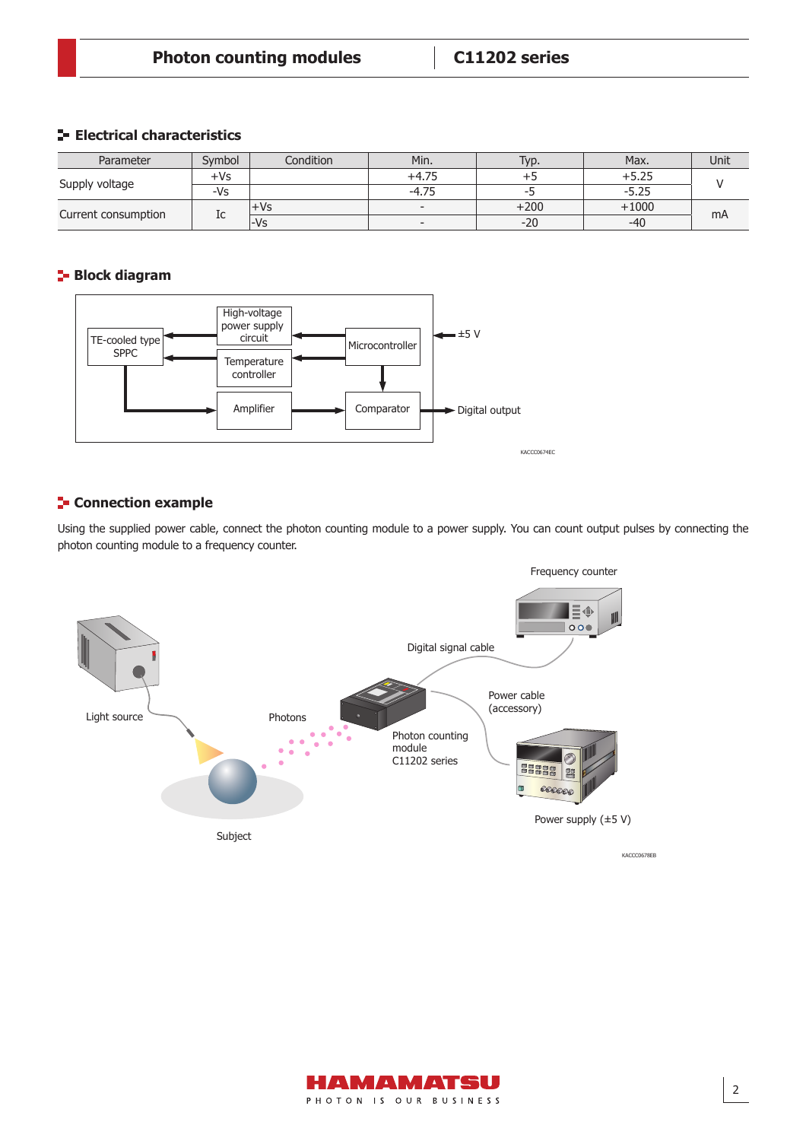# **Electrical characteristics**

| Parameter           | Svmbol | Condition | Min.                     | Typ.   | Max.    | Unit |  |
|---------------------|--------|-----------|--------------------------|--------|---------|------|--|
| Supply voltage      | +Vs    |           | $+4.75$                  |        | +5.25   |      |  |
|                     | -Vs    |           | $-4.75$                  |        | $-5.25$ |      |  |
| Current consumption |        | $+Vs$     | $\overline{\phantom{0}}$ | $+200$ | $+1000$ |      |  |
|                     | 1c     | l-Vs      | $\overline{\phantom{0}}$ | $-20$  | $-40$   | mA   |  |

# **Block diagram**



# **F** Connection example

Using the supplied power cable, connect the photon counting module to a power supply. You can count output pulses by connecting the photon counting module to a frequency counter.



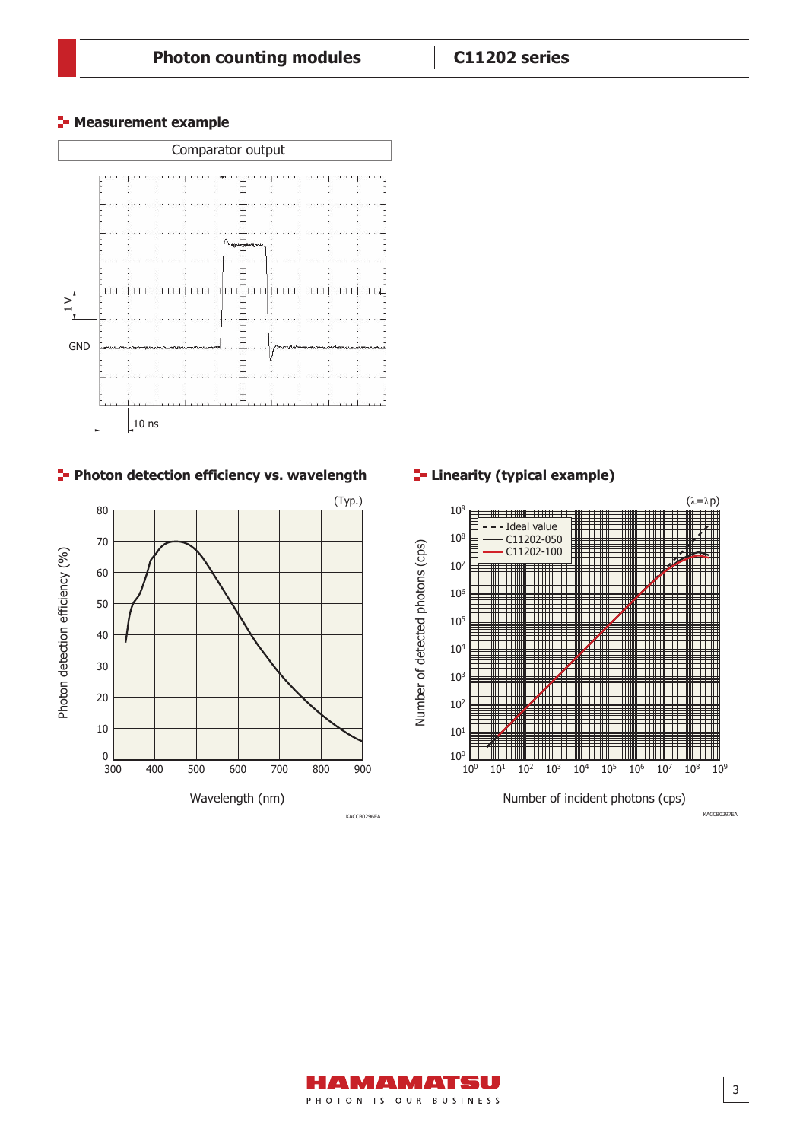# **F** Measurement example



**Photon detection efficiency vs. wavelength <b>Proton** Linearity (typical example)





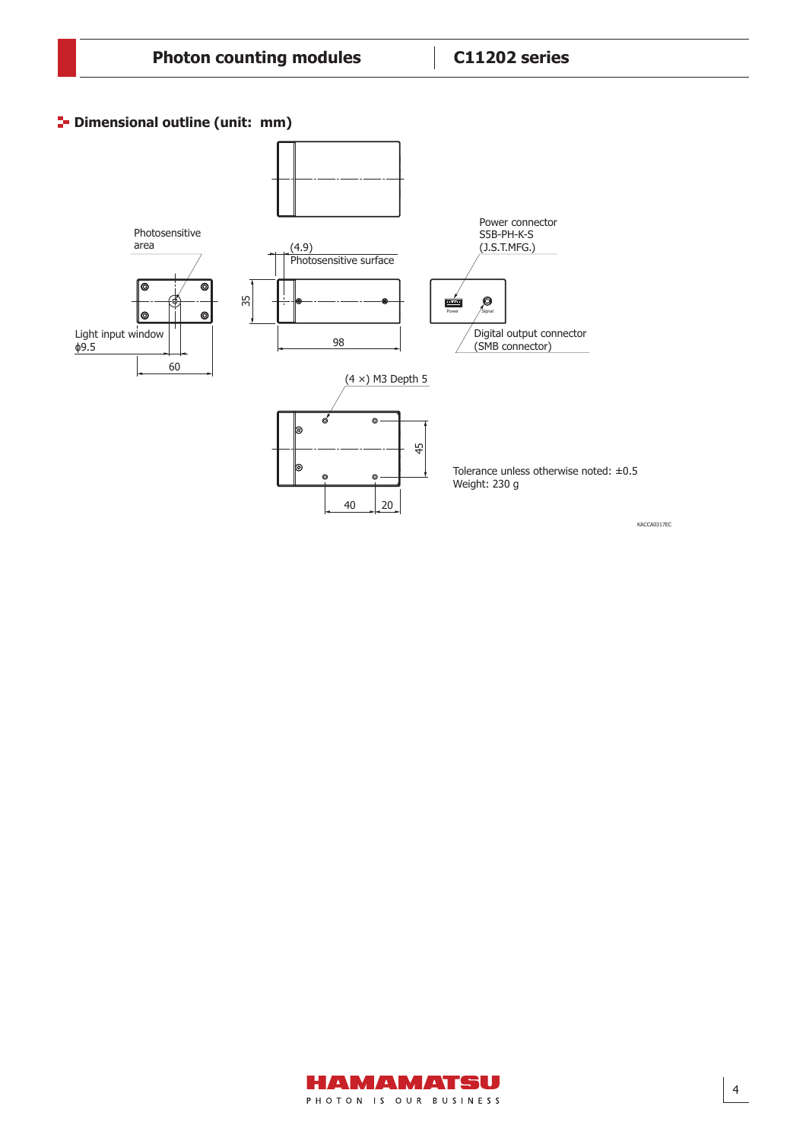# **P** Dimensional outline (unit: mm)



KACCA0317EC